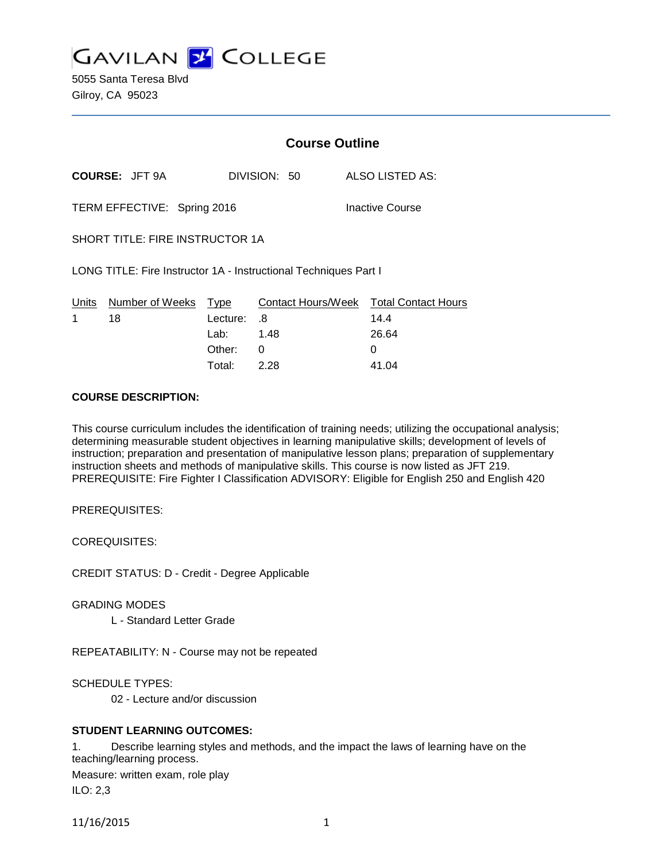**GAVILAN 2 COLLEGE** 

5055 Santa Teresa Blvd Gilroy, CA 95023

|                                                                  |                                  | <b>Course Outline</b> |              |  |                                                |
|------------------------------------------------------------------|----------------------------------|-----------------------|--------------|--|------------------------------------------------|
|                                                                  | <b>COURSE: JFT 9A</b>            |                       | DIVISION: 50 |  | ALSO LISTED AS:                                |
| TERM EFFECTIVE: Spring 2016<br>Inactive Course                   |                                  |                       |              |  |                                                |
| <b>SHORT TITLE: FIRE INSTRUCTOR 1A</b>                           |                                  |                       |              |  |                                                |
| LONG TITLE: Fire Instructor 1A - Instructional Techniques Part I |                                  |                       |              |  |                                                |
| 1                                                                | Units Number of Weeks Type<br>18 | Lecture:              | .8           |  | Contact Hours/Week Total Contact Hours<br>14.4 |
|                                                                  |                                  | Lab: 1.48             |              |  | 26.64                                          |
|                                                                  |                                  | Other:                | 0            |  | 0                                              |
|                                                                  |                                  | Total:                | 2.28         |  | 41.04                                          |

#### **COURSE DESCRIPTION:**

This course curriculum includes the identification of training needs; utilizing the occupational analysis; determining measurable student objectives in learning manipulative skills; development of levels of instruction; preparation and presentation of manipulative lesson plans; preparation of supplementary instruction sheets and methods of manipulative skills. This course is now listed as JFT 219. PREREQUISITE: Fire Fighter I Classification ADVISORY: Eligible for English 250 and English 420

PREREQUISITES:

COREQUISITES:

CREDIT STATUS: D - Credit - Degree Applicable

GRADING MODES

L - Standard Letter Grade

REPEATABILITY: N - Course may not be repeated

SCHEDULE TYPES:

02 - Lecture and/or discussion

## **STUDENT LEARNING OUTCOMES:**

1. Describe learning styles and methods, and the impact the laws of learning have on the teaching/learning process. Measure: written exam, role play

ILO: 2,3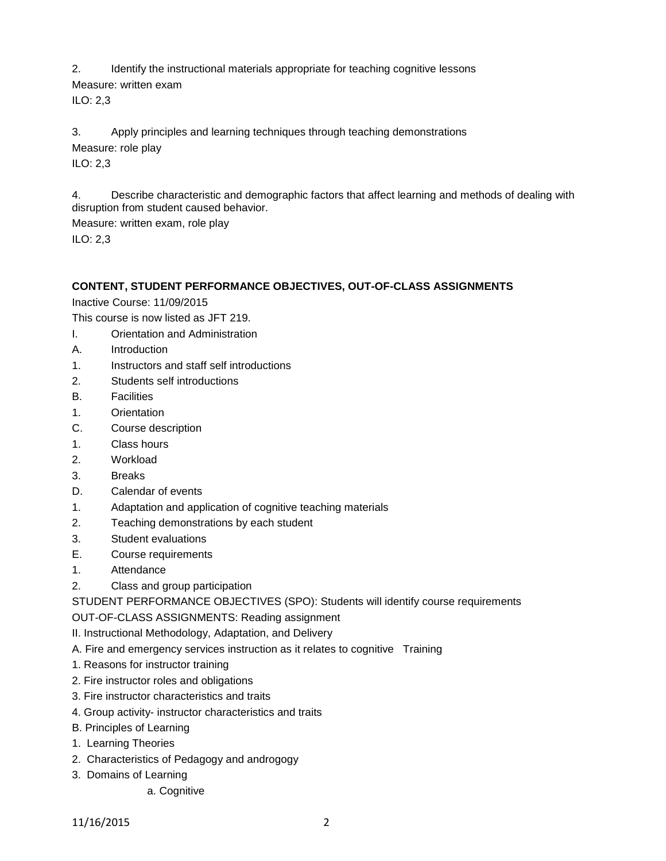2. Identify the instructional materials appropriate for teaching cognitive lessons

Measure: written exam ILO: 2,3

3. Apply principles and learning techniques through teaching demonstrations Measure: role play ILO: 2,3

4. Describe characteristic and demographic factors that affect learning and methods of dealing with disruption from student caused behavior.

Measure: written exam, role play ILO: 2,3

# **CONTENT, STUDENT PERFORMANCE OBJECTIVES, OUT-OF-CLASS ASSIGNMENTS**

Inactive Course: 11/09/2015

This course is now listed as JFT 219.

- I. Orientation and Administration
- A. Introduction
- 1. Instructors and staff self introductions
- 2. Students self introductions
- B. Facilities
- 1. Orientation
- C. Course description
- 1. Class hours
- 2. Workload
- 3. Breaks
- D. Calendar of events
- 1. Adaptation and application of cognitive teaching materials
- 2. Teaching demonstrations by each student
- 3. Student evaluations
- E. Course requirements
- 1. Attendance
- 2. Class and group participation

STUDENT PERFORMANCE OBJECTIVES (SPO): Students will identify course requirements

OUT-OF-CLASS ASSIGNMENTS: Reading assignment

- II. Instructional Methodology, Adaptation, and Delivery
- A. Fire and emergency services instruction as it relates to cognitive Training
- 1. Reasons for instructor training
- 2. Fire instructor roles and obligations
- 3. Fire instructor characteristics and traits
- 4. Group activity- instructor characteristics and traits
- B. Principles of Learning
- 1. Learning Theories
- 2. Characteristics of Pedagogy and androgogy
- 3. Domains of Learning
	- a. Cognitive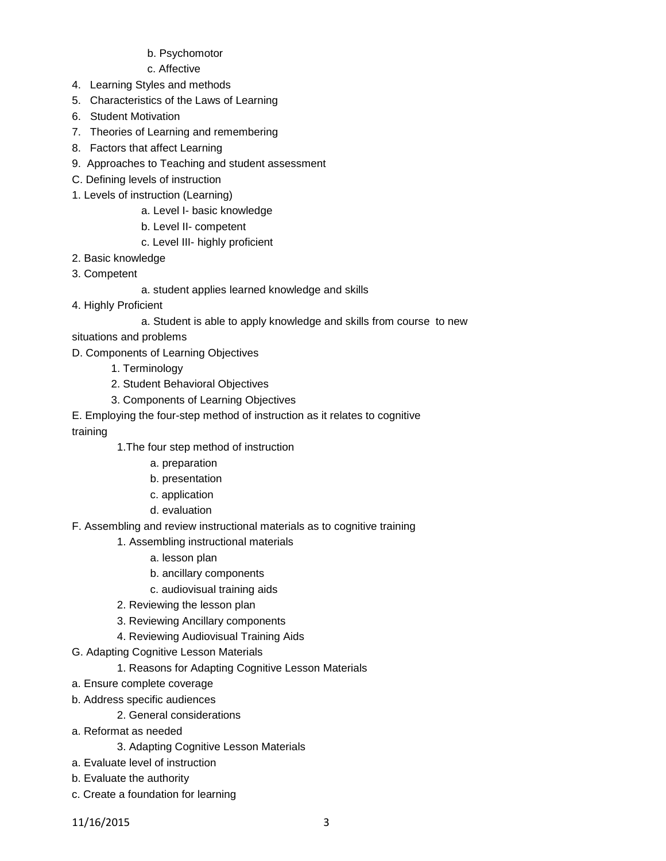## b. Psychomotor

c. Affective

- 4. Learning Styles and methods
- 5. Characteristics of the Laws of Learning
- 6. Student Motivation
- 7. Theories of Learning and remembering
- 8. Factors that affect Learning
- 9. Approaches to Teaching and student assessment
- C. Defining levels of instruction
- 1. Levels of instruction (Learning)
	- a. Level I- basic knowledge
		- b. Level II- competent
		- c. Level III- highly proficient
- 2. Basic knowledge
- 3. Competent
	- a. student applies learned knowledge and skills
- 4. Highly Proficient
	- a. Student is able to apply knowledge and skills from course to new
- situations and problems
- D. Components of Learning Objectives
	- 1. Terminology
	- 2. Student Behavioral Objectives
	- 3. Components of Learning Objectives

E. Employing the four-step method of instruction as it relates to cognitive

training

- 1.The four step method of instruction
	- a. preparation
	- b. presentation
	- c. application
	- d. evaluation
- F. Assembling and review instructional materials as to cognitive training
	- 1. Assembling instructional materials
		- a. lesson plan
		- b. ancillary components
		- c. audiovisual training aids
	- 2. Reviewing the lesson plan
	- 3. Reviewing Ancillary components
	- 4. Reviewing Audiovisual Training Aids
- G. Adapting Cognitive Lesson Materials
	- 1. Reasons for Adapting Cognitive Lesson Materials
- a. Ensure complete coverage
- b. Address specific audiences
	- 2. General considerations
- a. Reformat as needed
	- 3. Adapting Cognitive Lesson Materials
- a. Evaluate level of instruction
- b. Evaluate the authority
- c. Create a foundation for learning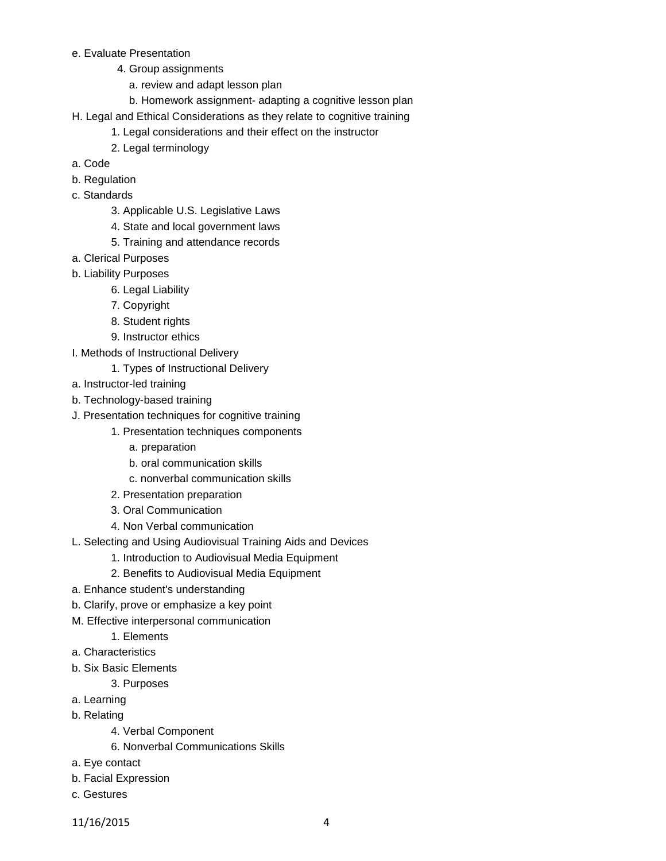### e. Evaluate Presentation

- 4. Group assignments
	- a. review and adapt lesson plan
	- b. Homework assignment- adapting a cognitive lesson plan
- H. Legal and Ethical Considerations as they relate to cognitive training
	- 1. Legal considerations and their effect on the instructor
	- 2. Legal terminology
- a. Code
- b. Regulation
- c. Standards
	- 3. Applicable U.S. Legislative Laws
	- 4. State and local government laws
	- 5. Training and attendance records
- a. Clerical Purposes
- b. Liability Purposes
	- 6. Legal Liability
	- 7. Copyright
	- 8. Student rights
	- 9. Instructor ethics
- I. Methods of Instructional Delivery
	- 1. Types of Instructional Delivery
- a. Instructor-led training
- b. Technology-based training
- J. Presentation techniques for cognitive training
	- 1. Presentation techniques components
		- a. preparation
		- b. oral communication skills
		- c. nonverbal communication skills
	- 2. Presentation preparation
	- 3. Oral Communication
	- 4. Non Verbal communication
- L. Selecting and Using Audiovisual Training Aids and Devices
	- 1. Introduction to Audiovisual Media Equipment
	- 2. Benefits to Audiovisual Media Equipment
- a. Enhance student's understanding
- b. Clarify, prove or emphasize a key point
- M. Effective interpersonal communication
	- 1. Elements
- a. Characteristics
- b. Six Basic Elements

3. Purposes

- a. Learning
- b. Relating
	- 4. Verbal Component
	- 6. Nonverbal Communications Skills
- a. Eye contact
- b. Facial Expression
- c. Gestures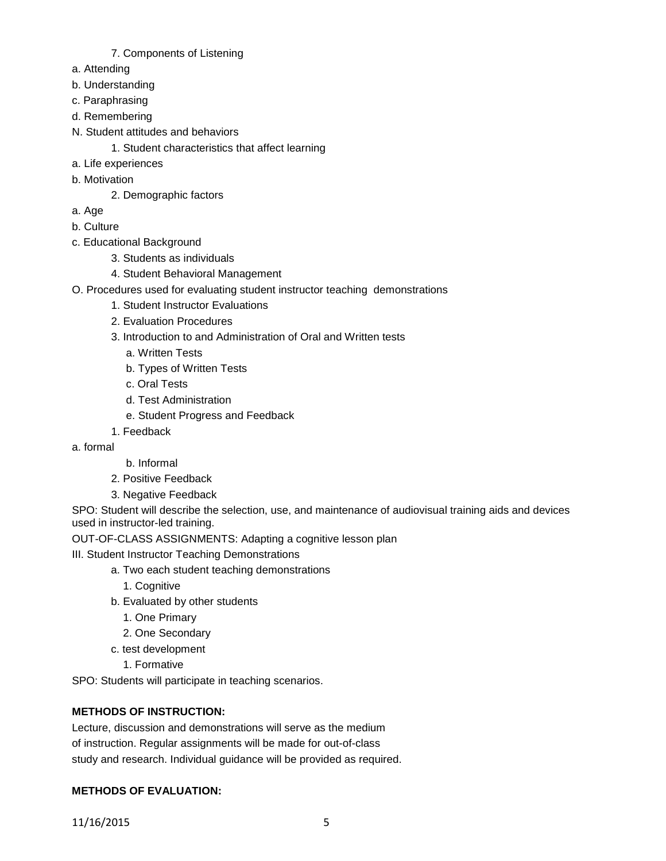### 7. Components of Listening

- a. Attending
- b. Understanding
- c. Paraphrasing
- d. Remembering
- N. Student attitudes and behaviors
	- 1. Student characteristics that affect learning
- a. Life experiences
- b. Motivation
	- 2. Demographic factors
- a. Age
- b. Culture
- c. Educational Background
	- 3. Students as individuals
	- 4. Student Behavioral Management
- O. Procedures used for evaluating student instructor teaching demonstrations
	- 1. Student Instructor Evaluations
	- 2. Evaluation Procedures
	- 3. Introduction to and Administration of Oral and Written tests
		- a. Written Tests
		- b. Types of Written Tests
		- c. Oral Tests
		- d. Test Administration
		- e. Student Progress and Feedback
	- 1. Feedback
- a. formal
- b. Informal
- 2. Positive Feedback
- 3. Negative Feedback

SPO: Student will describe the selection, use, and maintenance of audiovisual training aids and devices used in instructor-led training.

OUT-OF-CLASS ASSIGNMENTS: Adapting a cognitive lesson plan

III. Student Instructor Teaching Demonstrations

- a. Two each student teaching demonstrations
	- 1. Cognitive
- b. Evaluated by other students
	- 1. One Primary
	- 2. One Secondary
- c. test development
	- 1. Formative

SPO: Students will participate in teaching scenarios.

# **METHODS OF INSTRUCTION:**

Lecture, discussion and demonstrations will serve as the medium of instruction. Regular assignments will be made for out-of-class study and research. Individual guidance will be provided as required.

# **METHODS OF EVALUATION:**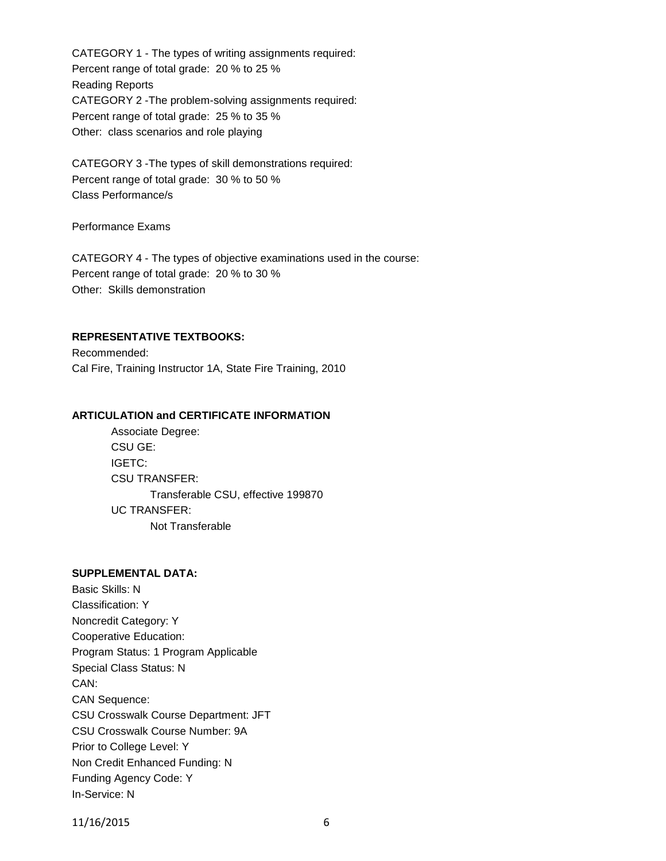CATEGORY 1 - The types of writing assignments required: Percent range of total grade: 20 % to 25 % Reading Reports CATEGORY 2 -The problem-solving assignments required: Percent range of total grade: 25 % to 35 % Other: class scenarios and role playing

CATEGORY 3 -The types of skill demonstrations required: Percent range of total grade: 30 % to 50 % Class Performance/s

Performance Exams

CATEGORY 4 - The types of objective examinations used in the course: Percent range of total grade: 20 % to 30 % Other: Skills demonstration

## **REPRESENTATIVE TEXTBOOKS:**

Recommended: Cal Fire, Training Instructor 1A, State Fire Training, 2010

### **ARTICULATION and CERTIFICATE INFORMATION**

Associate Degree: CSU GE: IGETC: CSU TRANSFER: Transferable CSU, effective 199870 UC TRANSFER: Not Transferable

#### **SUPPLEMENTAL DATA:**

Basic Skills: N Classification: Y Noncredit Category: Y Cooperative Education: Program Status: 1 Program Applicable Special Class Status: N CAN: CAN Sequence: CSU Crosswalk Course Department: JFT CSU Crosswalk Course Number: 9A Prior to College Level: Y Non Credit Enhanced Funding: N Funding Agency Code: Y In-Service: N